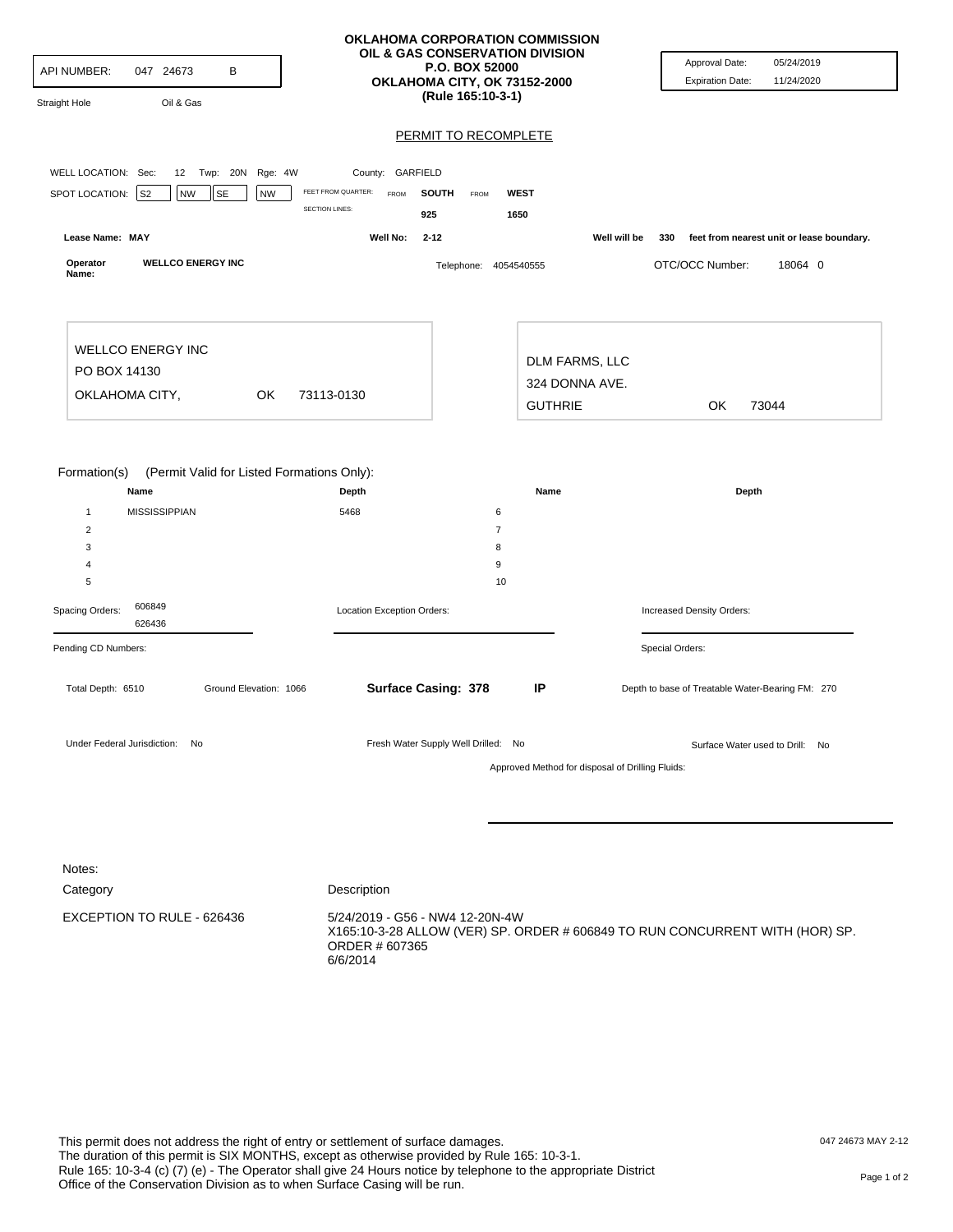| API NUMBER:<br>Straight Hole                                                    | 047 24673                    | Oil & Gas                | В           |                        |                                                             |                     | OKLAHOMA CORPORATION COMMISSION<br>OIL & GAS CONSERVATION DIVISION<br>P.O. BOX 52000<br>OKLAHOMA CITY, OK 73152-2000<br>(Rule 165:10-3-1) |                     |                                                    |                                                  |                 | Approval Date:<br><b>Expiration Date:</b>        | 05/24/2019<br>11/24/2020 |  |
|---------------------------------------------------------------------------------|------------------------------|--------------------------|-------------|------------------------|-------------------------------------------------------------|---------------------|-------------------------------------------------------------------------------------------------------------------------------------------|---------------------|----------------------------------------------------|--------------------------------------------------|-----------------|--------------------------------------------------|--------------------------|--|
|                                                                                 |                              |                          |             |                        |                                                             |                     | PERMIT TO RECOMPLETE                                                                                                                      |                     |                                                    |                                                  |                 |                                                  |                          |  |
| WELL LOCATION: Sec:                                                             |                              |                          | 12 Twp: 20N | Rge: 4W                | County: GARFIELD                                            |                     |                                                                                                                                           |                     |                                                    |                                                  |                 |                                                  |                          |  |
| SPOT LOCATION:                                                                  | $ $ S <sub>2</sub>           | NW                       | <b>SE</b>   | <b>NW</b>              | FEET FROM QUARTER:<br><b>FROM</b><br><b>SECTION LINES:</b>  | <b>SOUTH</b><br>925 | FROM                                                                                                                                      | 1650                | <b>WEST</b>                                        |                                                  |                 |                                                  |                          |  |
| Lease Name: MAY                                                                 |                              |                          |             |                        | Well No:                                                    | $2 - 12$            |                                                                                                                                           |                     |                                                    | Well will be                                     | 330             | feet from nearest unit or lease boundary.        |                          |  |
| Operator<br>Name:                                                               |                              | <b>WELLCO ENERGY INC</b> |             |                        |                                                             |                     | Telephone: 4054540555                                                                                                                     |                     |                                                    |                                                  |                 | OTC/OCC Number:                                  | 18064 0                  |  |
| <b>WELLCO ENERGY INC</b><br>PO BOX 14130<br>OKLAHOMA CITY,<br>OK.<br>73113-0130 |                              |                          |             |                        |                                                             |                     |                                                                                                                                           |                     | DLM FARMS, LLC<br>324 DONNA AVE.<br><b>GUTHRIE</b> |                                                  |                 | OK                                               | 73044                    |  |
| Formation(s)<br>$\mathbf{1}$<br>$\sqrt{2}$                                      | Name<br><b>MISSISSIPPIAN</b> |                          |             |                        | (Permit Valid for Listed Formations Only):<br>Depth<br>5468 |                     |                                                                                                                                           | 6<br>$\overline{7}$ | Name                                               |                                                  |                 | Depth                                            |                          |  |
| 3                                                                               |                              |                          |             |                        |                                                             |                     |                                                                                                                                           | 8                   |                                                    |                                                  |                 |                                                  |                          |  |
| 4                                                                               |                              |                          |             |                        |                                                             |                     |                                                                                                                                           | 9<br>10             |                                                    |                                                  |                 |                                                  |                          |  |
| 5<br>606849<br>Spacing Orders:<br>626436                                        |                              |                          |             |                        | Location Exception Orders:                                  |                     |                                                                                                                                           |                     |                                                    | Increased Density Orders:                        |                 |                                                  |                          |  |
| Pending CD Numbers:                                                             |                              |                          |             |                        |                                                             |                     |                                                                                                                                           |                     |                                                    |                                                  | Special Orders: |                                                  |                          |  |
| Total Depth: 6510                                                               |                              |                          |             | Ground Elevation: 1066 |                                                             |                     | <b>Surface Casing: 378</b>                                                                                                                |                     | IP                                                 |                                                  |                 | Depth to base of Treatable Water-Bearing FM: 270 |                          |  |
| Under Federal Jurisdiction: No                                                  |                              |                          |             |                        |                                                             |                     | Fresh Water Supply Well Drilled: No                                                                                                       |                     |                                                    | Approved Method for disposal of Drilling Fluids: |                 | Surface Water used to Drill: No                  |                          |  |
|                                                                                 |                              |                          |             |                        |                                                             |                     |                                                                                                                                           |                     |                                                    |                                                  |                 |                                                  |                          |  |

| Notes:                     |                                                                                                                                               |
|----------------------------|-----------------------------------------------------------------------------------------------------------------------------------------------|
| Category                   | Description                                                                                                                                   |
| EXCEPTION TO RULE - 626436 | 5/24/2019 - G56 - NW4 12-20N-4W<br>X165:10-3-28 ALLOW (VER) SP. ORDER # 606849 TO RUN CONCURRENT WITH (HOR) SP.<br>ORDER # 607365<br>6/6/2014 |